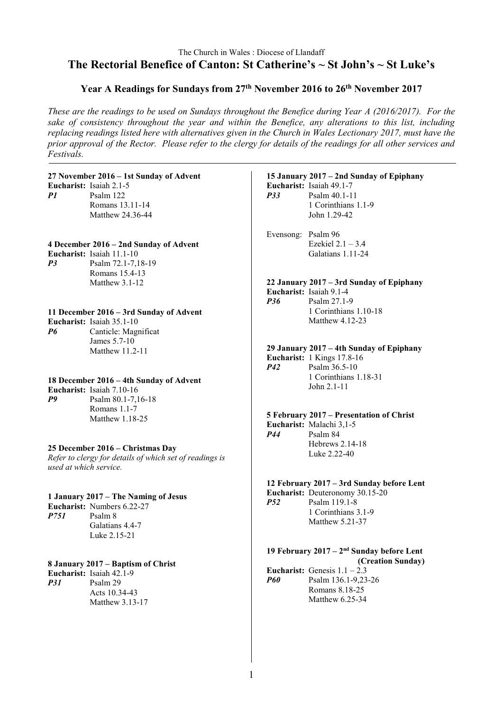# The Church in Wales : Diocese of Llandaff **The Rectorial Benefice of Canton: St Catherine's ~ St John's ~ St Luke's**

# **Year A Readings for Sundays from 27th November 2016 to 26th November 2017**

*These are the readings to be used on Sundays throughout the Benefice during Year A (2016/2017). For the sake of consistency throughout the year and within the Benefice, any alterations to this list, including replacing readings listed here with alternatives given in the Church in Wales Lectionary 2017, must have the prior approval of the Rector. Please refer to the clergy for details of the readings for all other services and Festivals.*

### **27 November 2016 – 1st Sunday of Advent**

**Eucharist:** Isaiah 2.1-5 *P1* Psalm 122 Romans 13.11-14 Matthew 24.36-44

# **4 December 2016 – 2nd Sunday of Advent**

**Eucharist:** Isaiah 11.1-10 *P3* Psalm 72.1-7,18-19 Romans 15.4-13 Matthew 3.1-12

### **11 December 2016 – 3rd Sunday of Advent**

**Eucharist:** Isaiah 35.1-10 *P6* Canticle: Magnificat James 5.7-10 Matthew 11.2-11

#### **18 December 2016 – 4th Sunday of Advent Eucharist:** Isaiah 7.10-16 *P9* Psalm 80.1-7,16-18

Romans 1.1-7 Matthew 1.18-25

#### **25 December 2016 – Christmas Day** *Refer to clergy for details of which set of readings is used at which service.*

# **1 January 2017 – The Naming of Jesus Eucharist:** Numbers 6.22-27 *P751* Psalm 8

Galatians 4.4-7 Luke 2.15-21

### **8 January 2017 – Baptism of Christ**

**Eucharist:** Isaiah 42.1-9 *P31* Psalm 29 Acts 10.34-43 Matthew 3.13-17

# **15 January 2017 – 2nd Sunday of Epiphany Eucharist:** Isaiah 49.1-7

*P33* Psalm 40.1-11 1 Corinthians 1.1-9 John 1.29-42

Evensong: Psalm 96 Ezekiel 2.1 – 3.4 Galatians 1.11-24

#### **22 January 2017 – 3rd Sunday of Epiphany Eucharist:** Isaiah 9.1-4 *P36* Psalm 27.1-9 1 Corinthians 1.10-18 Matthew 4.12-23

**29 January 2017 – 4th Sunday of Epiphany**

**Eucharist:** 1 Kings 17.8-16 *P42* Psalm 36.5-10 1 Corinthians 1.18-31 John 2.1-11

#### **5 February 2017 – Presentation of Christ Eucharist:** Malachi 3,1-5 *P44* Psalm 84

Hebrews 2.14-18 Luke 2.22-40

# **12 February 2017 – 3rd Sunday before Lent**

**Eucharist:** Deuteronomy 30.15-20 *P52* Psalm 119.1-8 1 Corinthians 3.1-9 Matthew 5.21-37

# **19 February 2017 – 2nd Sunday before Lent**

**(Creation Sunday) Eucharist:** Genesis  $1 \cdot 1 - 2 \cdot 3$ *P60* Psalm 136.1-9,23-26 Romans 8.18-25 Matthew 6.25-34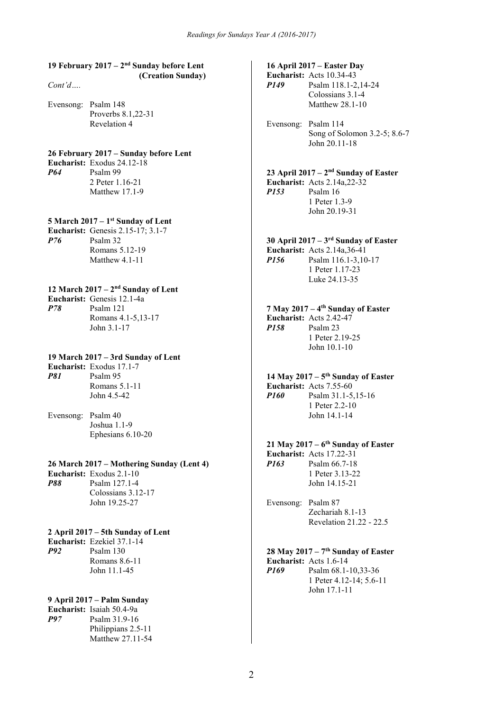### **19 February 2017 – 2nd Sunday before Lent (Creation Sunday)**

*Cont'd….*

Evensong: Psalm 148 Proverbs 8.1,22-31 Revelation 4

# **26 February 2017 – Sunday before Lent**

**Eucharist:** Exodus 24.12-18<br>*P64* Psalm 99 *P64* Psalm 99 2 Peter 1.16-21 Matthew 17.1-9

### **5 March 2017 – 1st Sunday of Lent**

**Eucharist:** Genesis 2.15-17; 3.1-7 *P76* Psalm 32 Romans 5.12-19 Matthew 4.1-11

### **12 March 2017 – 2nd Sunday of Lent**

**Eucharist:** Genesis 12.1-4a *P78* Psalm 121 Romans 4.1-5,13-17 John 3.1-17

### **19 March 2017 – 3rd Sunday of Lent**

**Eucharist:** Exodus 17.1-7 *P81* Psalm 95 Romans 5.1-11 John 4.5-42

Evensong: Psalm 40 Joshua 1.1-9 Ephesians 6.10-20

### **26 March 2017 – Mothering Sunday (Lent 4)**

**Eucharist:** Exodus 2.1-10 *P88* Psalm 127.1-4 Colossians 3.12-17 John 19.25-27

### **2 April 2017 – 5th Sunday of Lent**

**Eucharist:** Ezekiel 37.1-14<br>*P92* Psalm 130 *P92* Psalm 130 Romans 8.6-11 John 11.1-45

### **9 April 2017 – Palm Sunday**

**Eucharist:** Isaiah 50.4-9a *P97* Psalm 31.9-16 Philippians 2.5-11 Matthew 27.11-54

# **16 April 2017 – Easter Day**

**Eucharist:** Acts 10.34-43 *P149* Psalm 118.1-2,14-24

> Colossians 3.1-4 Matthew 28.1-10

Evensong: Psalm 114 Song of Solomon 3.2-5; 8.6-7 John 20.11-18

# **23 April 2017 – 2nd Sunday of Easter**

**Eucharist:** Acts 2.14a,22-32 *P153* Psalm 16 1 Peter 1.3-9 John 20.19-31

# **30 April 2017 – 3rd Sunday of Easter**

**Eucharist:** Acts 2.14a,36-41 *P156* Psalm 116.1-3,10-17 1 Peter 1.17-23 Luke 24.13-35

### **7 May 2017 – 4th Sunday of Easter**

**Eucharist:** Acts 2.42-47<br>*P158* Psalm 23 **Psalm 23** 1 Peter 2.19-25 John 10.1-10

#### **14 May 2017 – 5th Sunday of Easter Eucharist:** Acts 7.55-60 *P160* Psalm 31.1-5,15-16 1 Peter 2.2-10 John 14.1-14

# **21 May 2017 – 6th Sunday of Easter**

**Eucharist:** Acts 17.22-31 *P163* Psalm 66.7-18 1 Peter 3.13-22 John 14.15-21

Evensong: Psalm 87 Zechariah 8.1-13 Revelation 21.22 - 22.5

# **28 May 2017 – 7th Sunday of Easter**

**Eucharist:** Acts 1.6-14 *P169* Psalm 68.1-10,33-36 1 Peter 4.12-14; 5.6-11 John 17.1-11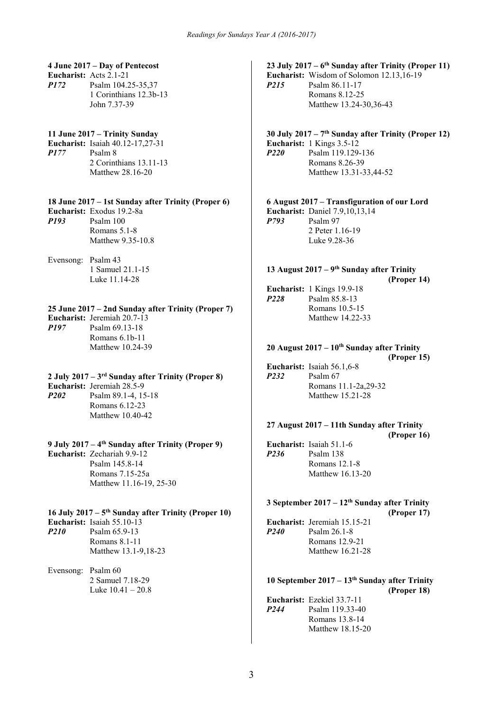#### **4 June 2017 – Day of Pentecost Eucharist:** Acts 2.1-21

*P172* Psalm 104.25-35,37 1 Corinthians 12.3b-13 John 7.37-39

# **11 June 2017 – Trinity Sunday**

**Eucharist:** Isaiah 40.12-17,27-31<br>*P177* Psalm 8 Psalm 8 2 Corinthians 13.11-13 Matthew 28.16-20

# **18 June 2017 – 1st Sunday after Trinity (Proper 6)**

**Eucharist:** Exodus 19.2-8a *P193* Psalm 100 Romans 5.1-8 Matthew 9.35-10.8

Evensong: Psalm 43 1 Samuel 21.1-15 Luke 11.14-28

#### **25 June 2017 – 2nd Sunday after Trinity (Proper 7)**

**Eucharist:** Jeremiah 20.7-13<br>*P197* Psalm 69.13-18

*P197* Psalm 69.13-18 Romans 6.1b-11 Matthew 10.24-39

# **2 July 2017 – 3rd Sunday after Trinity (Proper 8)**

**Eucharist:** Jeremiah 28.5-9

*P202* Psalm 89.1-4, 15-18 Romans 6.12-23 Matthew 10.40-42

### **9 July 2017 – 4th Sunday after Trinity (Proper 9)**

**Eucharist:** Zechariah 9.9-12 Psalm 145.8-14 Romans 7.15-25a Matthew 11.16-19, 25-30

### **16 July 2017 – 5th Sunday after Trinity (Proper 10)**

**Eucharist:** Isaiah 55.10-13 *P210* Psalm 65.9-13 Romans 8.1-11 Matthew 13.1-9,18-23

#### Evensong: Psalm 60 2 Samuel 7.18-29 Luke  $10.41 - 20.8$

# **23 July 2017 – 6th Sunday after Trinity (Proper 11)**

**Eucharist:** Wisdom of Solomon 12.13,16-19 *P215* Psalm 86.11-17 Romans 8.12-25 Matthew 13.24-30,36-43

# **30 July 2017 – 7th Sunday after Trinity (Proper 12)**

**Eucharist:** 1 Kings 3.5-12<br>**P220** Psalm 119 129 *P220* Psalm 119.129-136 Romans 8.26-39 Matthew 13.31-33,44-52

**6 August 2017 – Transfiguration of our Lord Eucharist:** Daniel 7.9,10,13,14 *P793* Psalm 97 2 Peter 1.16-19 Luke 9.28-36

### **13 August 2017 – 9th Sunday after Trinity**

**(Proper 14)**

**Eucharist:** 1 Kings 19.9-18 *P228* Psalm 85.8-13 Romans 10.5-15 Matthew 14.22-33

# **20 August 2017 – 10th Sunday after Trinity**

**(Proper 15) Eucharist:** Isaiah 56.1,6-8 *P232* Psalm 67 Romans 11.1-2a,29-32 Matthew 15.21-28

### **27 August 2017 – 11th Sunday after Trinity**

```
(Proper 16)
Eucharist: Isaiah 51.1-6
P236 Psalm 138
          Romans 12.1-8
          Matthew 16.13-20
```
#### **3 September 2017 – 12th Sunday after Trinity (Proper 17)**

**Eucharist:** Jeremiah 15.15-21 *P240* Psalm 26.1-8 Romans 12.9-21 Matthew 16.21-28

#### **10 September 2017 – 13th Sunday after Trinity (Proper 18)**

|             | <b>Eucharist:</b> Ezekiel 33.7-11 |
|-------------|-----------------------------------|
| <b>P244</b> | Psalm 119.33-40                   |
|             | Romans 13.8-14                    |
|             | Matthew 18.15-20                  |